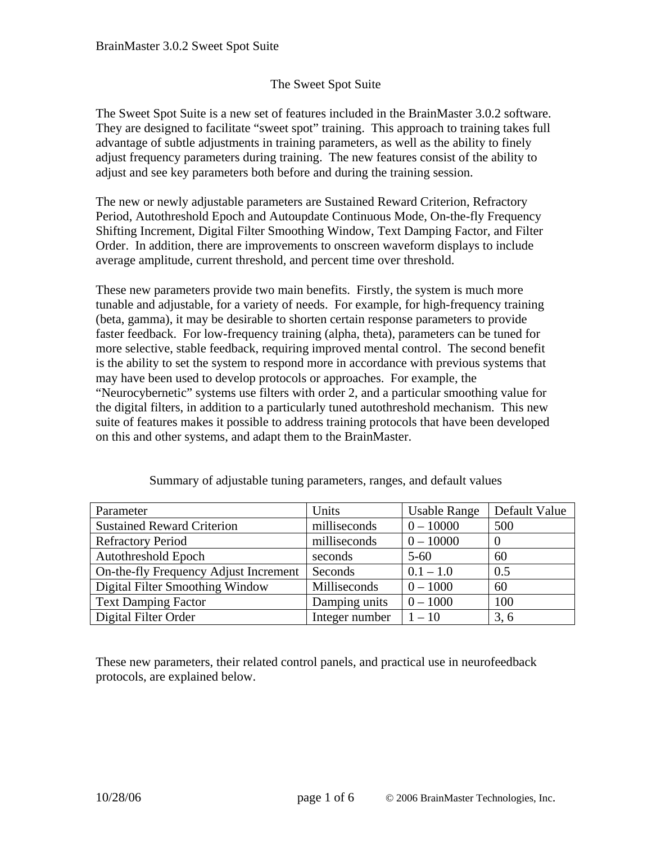## The Sweet Spot Suite

The Sweet Spot Suite is a new set of features included in the BrainMaster 3.0.2 software. They are designed to facilitate "sweet spot" training. This approach to training takes full advantage of subtle adjustments in training parameters, as well as the ability to finely adjust frequency parameters during training. The new features consist of the ability to adjust and see key parameters both before and during the training session.

The new or newly adjustable parameters are Sustained Reward Criterion, Refractory Period, Autothreshold Epoch and Autoupdate Continuous Mode, On-the-fly Frequency Shifting Increment, Digital Filter Smoothing Window, Text Damping Factor, and Filter Order. In addition, there are improvements to onscreen waveform displays to include average amplitude, current threshold, and percent time over threshold.

These new parameters provide two main benefits. Firstly, the system is much more tunable and adjustable, for a variety of needs. For example, for high-frequency training (beta, gamma), it may be desirable to shorten certain response parameters to provide faster feedback. For low-frequency training (alpha, theta), parameters can be tuned for more selective, stable feedback, requiring improved mental control. The second benefit is the ability to set the system to respond more in accordance with previous systems that may have been used to develop protocols or approaches. For example, the "Neurocybernetic" systems use filters with order 2, and a particular smoothing value for the digital filters, in addition to a particularly tuned autothreshold mechanism. This new suite of features makes it possible to address training protocols that have been developed on this and other systems, and adapt them to the BrainMaster.

| Parameter                             | Units          | <b>Usable Range</b> | Default Value |
|---------------------------------------|----------------|---------------------|---------------|
| <b>Sustained Reward Criterion</b>     | milliseconds   | $0 - 10000$         | 500           |
| <b>Refractory Period</b>              | milliseconds   | $0 - 10000$         |               |
| <b>Autothreshold Epoch</b>            | seconds        | $5 - 60$            | 60            |
| On-the-fly Frequency Adjust Increment | Seconds        | $0.1 - 1.0$         | 0.5           |
| Digital Filter Smoothing Window       | Milliseconds   | $0 - 1000$          | 60            |
| <b>Text Damping Factor</b>            | Damping units  | $0 - 1000$          | 100           |
| Digital Filter Order                  | Integer number | $1 - 10$            | 3, 6          |

Summary of adjustable tuning parameters, ranges, and default values

These new parameters, their related control panels, and practical use in neurofeedback protocols, are explained below.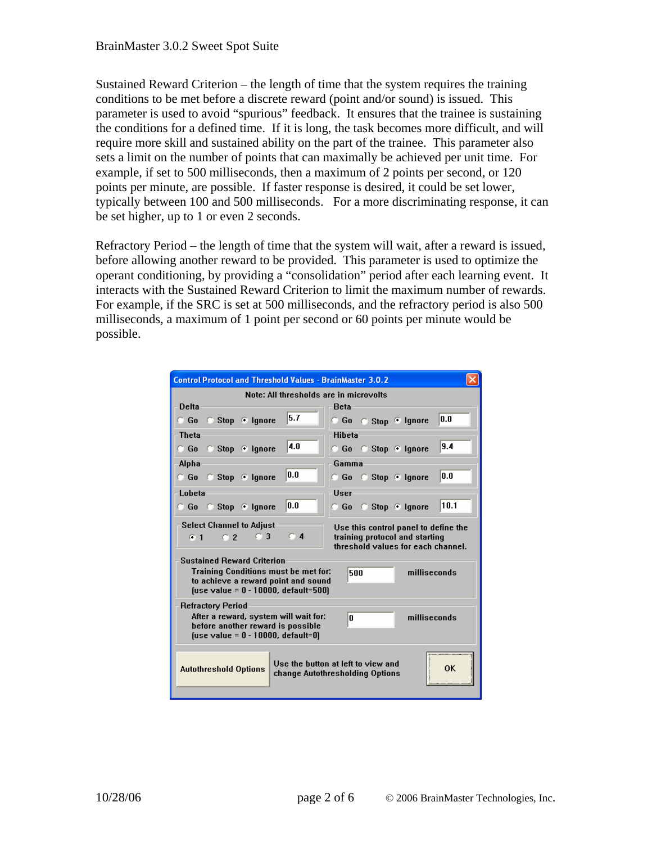Sustained Reward Criterion – the length of time that the system requires the training conditions to be met before a discrete reward (point and/or sound) is issued. This parameter is used to avoid "spurious" feedback. It ensures that the trainee is sustaining the conditions for a defined time. If it is long, the task becomes more difficult, and will require more skill and sustained ability on the part of the trainee. This parameter also sets a limit on the number of points that can maximally be achieved per unit time. For example, if set to 500 milliseconds, then a maximum of 2 points per second, or 120 points per minute, are possible. If faster response is desired, it could be set lower, typically between 100 and 500 milliseconds. For a more discriminating response, it can be set higher, up to 1 or even 2 seconds.

Refractory Period – the length of time that the system will wait, after a reward is issued, before allowing another reward to be provided. This parameter is used to optimize the operant conditioning, by providing a "consolidation" period after each learning event. It interacts with the Sustained Reward Criterion to limit the maximum number of rewards. For example, if the SRC is set at 500 milliseconds, and the refractory period is also 500 milliseconds, a maximum of 1 point per second or 60 points per minute would be possible.

| <b>Control Protocol and Threshold Values - BrainMaster 3.0.2</b>                                                                                                                                            |                                     |  |  |  |
|-------------------------------------------------------------------------------------------------------------------------------------------------------------------------------------------------------------|-------------------------------------|--|--|--|
| Note: All thresholds are in microvolts                                                                                                                                                                      |                                     |  |  |  |
| <b>Delta</b>                                                                                                                                                                                                | <b>Beta</b>                         |  |  |  |
| 5.7<br>Stop ® Ignore<br>$\Box$ Go                                                                                                                                                                           | 0.0<br>© Go c Stop ® Ignore         |  |  |  |
| <b>Theta</b>                                                                                                                                                                                                | <b>Hiheta</b>                       |  |  |  |
| 4.0<br>© Go © Stop ® Ignore                                                                                                                                                                                 | 9.4<br>○ Go ○ Stop © Ignore         |  |  |  |
| Alpha                                                                                                                                                                                                       | Gamma                               |  |  |  |
| lo.o<br>© Go © Stop ® Ignore                                                                                                                                                                                | lo.o<br>© Go © Stop ® Ignore        |  |  |  |
| Lobeta                                                                                                                                                                                                      | User                                |  |  |  |
| 0.0<br>© Go © Stop ® Ignore                                                                                                                                                                                 | 10.1<br><b>G</b> Go G Stop © Ignore |  |  |  |
| <b>Select Channel to Adjust</b><br>Use this control panel to define the<br>C <sub>4</sub><br>C <sub>3</sub><br>training protocol and starting<br>C2<br>G <sub>1</sub><br>threshold values for each channel. |                                     |  |  |  |
| <b>Sustained Reward Criterion</b><br><b>Training Conditions must be met for:</b><br>500<br>milliseconds<br>to achieve a reward point and sound<br>$[use value = 0 - 10000, default = 500]$                  |                                     |  |  |  |
| <b>Refractory Period</b><br>After a reward, system will wait for:<br>milliseconds<br>'n<br>before another reward is possible<br>(use value = $0 - 10000$ , default=0)                                       |                                     |  |  |  |
| Use the button at left to view and<br>0K<br><b>Autothreshold Options</b><br>change Autothresholding Options                                                                                                 |                                     |  |  |  |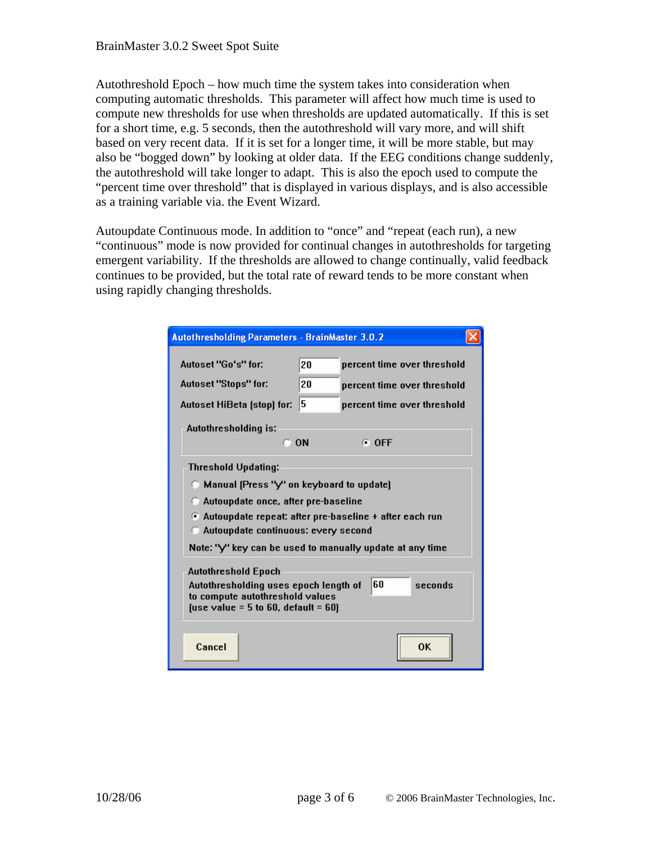Autothreshold Epoch – how much time the system takes into consideration when computing automatic thresholds. This parameter will affect how much time is used to compute new thresholds for use when thresholds are updated automatically. If this is set for a short time, e.g. 5 seconds, then the autothreshold will vary more, and will shift based on very recent data. If it is set for a longer time, it will be more stable, but may also be "bogged down" by looking at older data. If the EEG conditions change suddenly, the autothreshold will take longer to adapt. This is also the epoch used to compute the "percent time over threshold" that is displayed in various displays, and is also accessible as a training variable via. the Event Wizard.

Autoupdate Continuous mode. In addition to "once" and "repeat (each run), a new "continuous" mode is now provided for continual changes in autothresholds for targeting emergent variability. If the thresholds are allowed to change continually, valid feedback continues to be provided, but the total rate of reward tends to be more constant when using rapidly changing thresholds.

| <b>Autothresholding Parameters - BrainMaster 3.0.2</b>                                          |                                                          |                             |    |  |  |
|-------------------------------------------------------------------------------------------------|----------------------------------------------------------|-----------------------------|----|--|--|
| Autoset "Go's" for:                                                                             | 20                                                       | percent time over threshold |    |  |  |
| Autoset "Stops" for:                                                                            | 20                                                       | percent time over threshold |    |  |  |
| Autoset HiBeta (stop) for:                                                                      | 5                                                        | percent time over threshold |    |  |  |
| Autothresholding is:                                                                            |                                                          |                             |    |  |  |
| $\Box$ ON                                                                                       |                                                          | $F$ OFF                     |    |  |  |
| <b>Threshold Updating:</b>                                                                      |                                                          |                             |    |  |  |
|                                                                                                 | C Manual (Press "y" on keyboard to update)               |                             |    |  |  |
|                                                                                                 | Autoupdate once, after pre-baseline                      |                             |    |  |  |
|                                                                                                 | • Autoupdate repeat: after pre-baseline + after each run |                             |    |  |  |
| Autoupdate continuous: every second<br>Note: "y" key can be used to manually update at any time |                                                          |                             |    |  |  |
|                                                                                                 |                                                          |                             |    |  |  |
| <b>Autothreshold Epoch</b><br>60<br>Autothresholding uses epoch length of<br>seconds            |                                                          |                             |    |  |  |
| to compute autothreshold values                                                                 |                                                          |                             |    |  |  |
| [use value = $5$ to $60$ , default = $60$ ]                                                     |                                                          |                             |    |  |  |
| Cancel                                                                                          |                                                          |                             | nκ |  |  |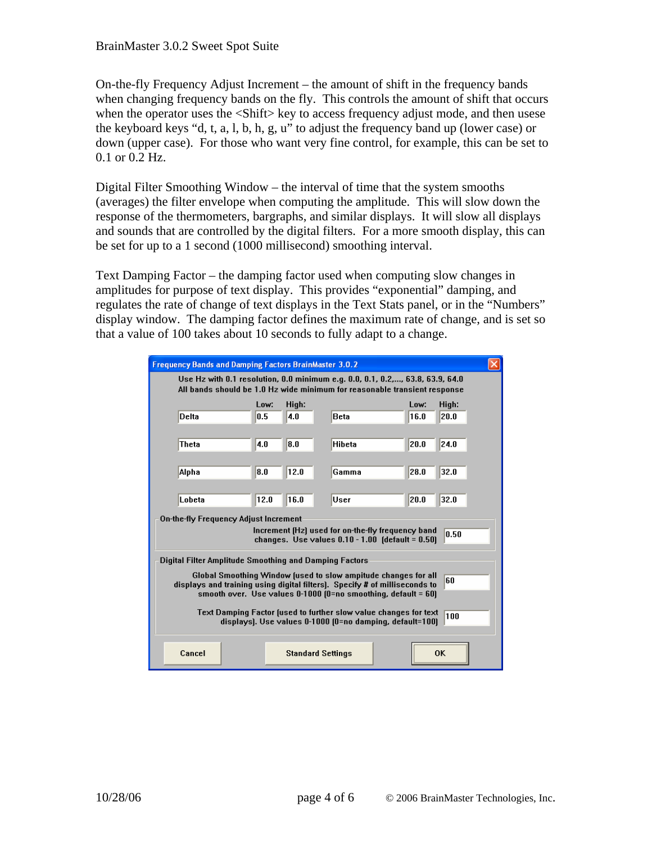On-the-fly Frequency Adjust Increment – the amount of shift in the frequency bands when changing frequency bands on the fly. This controls the amount of shift that occurs when the operator uses the <Shift> key to access frequency adjust mode, and then usese the keyboard keys "d, t, a, l, b, h, g, u" to adjust the frequency band up (lower case) or down (upper case). For those who want very fine control, for example, this can be set to 0.1 or 0.2 Hz.

Digital Filter Smoothing Window – the interval of time that the system smooths (averages) the filter envelope when computing the amplitude. This will slow down the response of the thermometers, bargraphs, and similar displays. It will slow all displays and sounds that are controlled by the digital filters. For a more smooth display, this can be set for up to a 1 second (1000 millisecond) smoothing interval.

Text Damping Factor – the damping factor used when computing slow changes in amplitudes for purpose of text display. This provides "exponential" damping, and regulates the rate of change of text displays in the Text Stats panel, or in the "Numbers" display window. The damping factor defines the maximum rate of change, and is set so that a value of 100 takes about 10 seconds to fully adapt to a change.

|                                                                                                                                     | <b>Frequency Bands and Damping Factors BrainMaster 3.0.2</b>                                                                                               |      |                          |  |                                                                |      |       |  |
|-------------------------------------------------------------------------------------------------------------------------------------|------------------------------------------------------------------------------------------------------------------------------------------------------------|------|--------------------------|--|----------------------------------------------------------------|------|-------|--|
|                                                                                                                                     | Use Hz with 0.1 resolution, 0.0 minimum e.g. 0.0, 0.1, 0.2,, 63.8, 63.9, 64.0<br>All bands should be 1.0 Hz wide minimum for reasonable transient response |      |                          |  |                                                                |      |       |  |
|                                                                                                                                     |                                                                                                                                                            | Low: | High:                    |  |                                                                | Low: | High: |  |
|                                                                                                                                     | <b>Delta</b>                                                                                                                                               | 0.5  | 4.0                      |  | <b>Beta</b>                                                    | 16.0 | 20.0  |  |
|                                                                                                                                     |                                                                                                                                                            |      |                          |  |                                                                |      |       |  |
|                                                                                                                                     | Theta                                                                                                                                                      | 4.0  | 8.0                      |  | Hibeta                                                         | 20.0 | 24.0  |  |
|                                                                                                                                     |                                                                                                                                                            |      | 12.0                     |  |                                                                |      | 32.0  |  |
|                                                                                                                                     | Alpha                                                                                                                                                      | 8.0  |                          |  | Gamma                                                          | 28.0 |       |  |
|                                                                                                                                     | Lobeta                                                                                                                                                     | 12.0 | 16.0                     |  | User                                                           | 20.0 | 32.0  |  |
|                                                                                                                                     |                                                                                                                                                            |      |                          |  |                                                                |      |       |  |
|                                                                                                                                     | On-the-fly Frequency Adjust Increment<br>Increment (Hz) used for on-the-fly frequency band                                                                 |      |                          |  |                                                                |      |       |  |
| 0.50<br>changes. Use values $0.10 - 1.00$ (default = $0.50$ )                                                                       |                                                                                                                                                            |      |                          |  |                                                                |      |       |  |
|                                                                                                                                     | Digital Filter Amplitude Smoothing and Damping Factors                                                                                                     |      |                          |  |                                                                |      |       |  |
|                                                                                                                                     |                                                                                                                                                            |      |                          |  | Global Smoothing Window (used to slow ampitude changes for all |      |       |  |
|                                                                                                                                     | lan<br>displays and training using digital filters). Specify # of milliseconds to<br>smooth over. Use values $0-1000$ (0=no smoothing, default = 60)       |      |                          |  |                                                                |      |       |  |
|                                                                                                                                     |                                                                                                                                                            |      |                          |  |                                                                |      |       |  |
| Text Damping Factor (used to further slow value changes for text<br>100<br>displays). Use values 0-1000 (0=no damping, default=100) |                                                                                                                                                            |      |                          |  |                                                                |      |       |  |
|                                                                                                                                     |                                                                                                                                                            |      |                          |  |                                                                |      |       |  |
|                                                                                                                                     | Cancel                                                                                                                                                     |      | <b>Standard Settings</b> |  |                                                                |      | OΚ    |  |
|                                                                                                                                     |                                                                                                                                                            |      |                          |  |                                                                |      |       |  |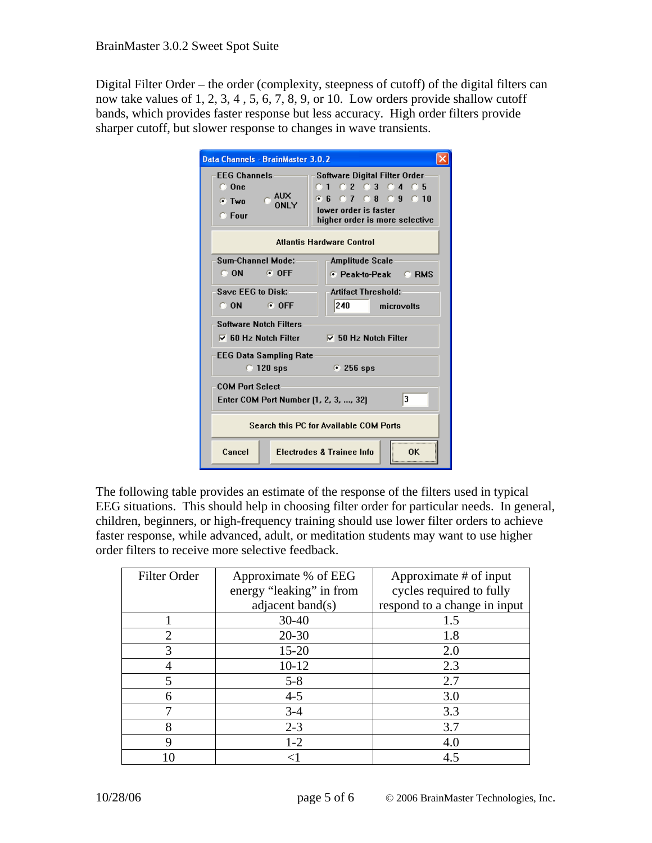Digital Filter Order – the order (complexity, steepness of cutoff) of the digital filters can now take values of 1, 2, 3, 4 , 5, 6, 7, 8, 9, or 10. Low orders provide shallow cutoff bands, which provides faster response but less accuracy. High order filters provide sharper cutoff, but slower response to changes in wave transients.

| Data Channels - BrainMaster 3.0.2                                                            |                                                                                                                                |  |  |  |  |
|----------------------------------------------------------------------------------------------|--------------------------------------------------------------------------------------------------------------------------------|--|--|--|--|
| <b>EEG Channels</b><br>$\bigcirc$ One<br>$C$ AUX<br>$\bullet$ Two<br><b>ONLY</b><br>$C$ Four | Software Digital Filter Order<br>0102030405<br>G 6 G 7 G 8 G 9 G 10<br>Inwer order is faster<br>higher order is more selective |  |  |  |  |
| <b>Atlantis Hardware Control</b>                                                             |                                                                                                                                |  |  |  |  |
| Sum-Channel Mode:                                                                            | <b>Amplitude Scale</b>                                                                                                         |  |  |  |  |
| $\subset$ ON<br>$\odot$ OFF                                                                  | $\bullet$ Peak-to-Peak<br>$C$ RMS                                                                                              |  |  |  |  |
| Save EEG to Disk:                                                                            | <b>Artifact Threshold:</b>                                                                                                     |  |  |  |  |
| C ON<br><b>COFF</b>                                                                          | 240<br>microvolts                                                                                                              |  |  |  |  |
| <b>Software Notch Filters</b>                                                                |                                                                                                                                |  |  |  |  |
| $\nabla$ 60 Hz Notch Filter<br>$\nabla$ 50 Hz Notch Filter                                   |                                                                                                                                |  |  |  |  |
| <b>EEG Data Sampling Rate</b>                                                                |                                                                                                                                |  |  |  |  |
| $\degree$ 120 sps<br>$\epsilon$ 256 sps                                                      |                                                                                                                                |  |  |  |  |
| <b>COM Port Select</b>                                                                       |                                                                                                                                |  |  |  |  |
| 3<br>Enter COM Port Number (1, 2, 3, , 32)                                                   |                                                                                                                                |  |  |  |  |
| Search this PC for Available COM Ports                                                       |                                                                                                                                |  |  |  |  |
| Cancel                                                                                       | <br><b>Electrodes &amp; Trainee Info.</b><br>ΩK                                                                                |  |  |  |  |

The following table provides an estimate of the response of the filters used in typical EEG situations. This should help in choosing filter order for particular needs. In general, children, beginners, or high-frequency training should use lower filter orders to achieve faster response, while advanced, adult, or meditation students may want to use higher order filters to receive more selective feedback.

| Filter Order   | Approximate % of EEG     | Approximate # of input       |
|----------------|--------------------------|------------------------------|
|                | energy "leaking" in from | cycles required to fully     |
|                | adjacent band(s)         | respond to a change in input |
|                | $30 - 40$                | 1.5                          |
| $\overline{2}$ | $20 - 30$                | 1.8                          |
| 3              | $15 - 20$                | 2.0                          |
|                | $10 - 12$                | 2.3                          |
| 5              | $5 - 8$                  | 2.7                          |
| 6              | $4 - 5$                  | 3.0                          |
|                | $3 - 4$                  | 3.3                          |
| 8              | $2 - 3$                  | 3.7                          |
| 9              | $1 - 2$                  | 4.0                          |
|                |                          | 4.5                          |